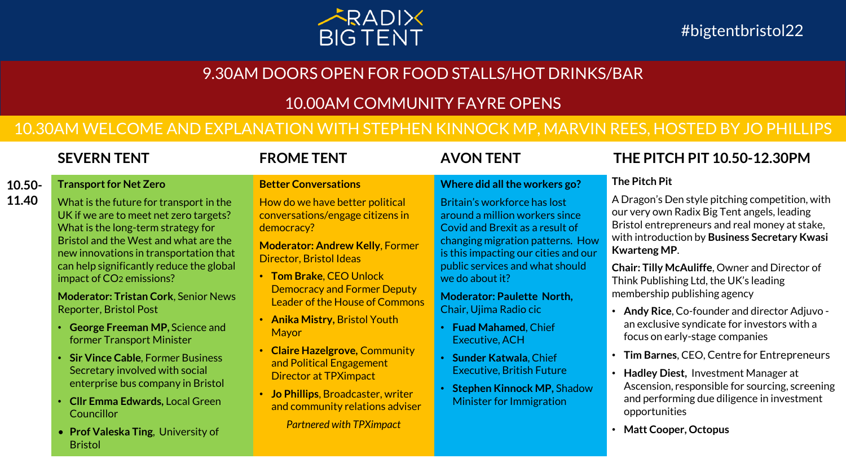

# 9.30AM DOORS OPEN FOR FOOD STALLS/HOT DRINKS/BAR

# 10.00AM COMMUNITY FAYRE OPENS

# 10.30AM WELCOME AND EXPLANATION WITH STEPHEN KINNOCK MP, MARVIN REES, HOSTED BY JO PHILLIPS

**Better Conversations**

## **Where did all the workers go?**

Britain's workforce has lost around a million workers since Covid and Brexit as a result of changing migration patterns. How is this impacting our cities and our public services and what should we do about it?

**Moderator: Paulette North,**  Chair, Ujima Radio cic

- **Fuad Mahamed**, Chief Executive, ACH
- **Sunder Katwala**, Chief Executive, British Future
- **Stephen Kinnock MP,** Shadow Minister for Immigration

# **SEVERN TENT FROME TENT AVON TENT THE PITCH PIT 10.50-12.30PM**

# **The Pitch Pit**

A Dragon's Den style pitching competition, with our very own Radix Big Tent angels, leading Bristol entrepreneurs and real money at stake, with introduction by **Business Secretary Kwasi Kwarteng MP**.

**Chair: Tilly McAuliffe**, Owner and Director of Think Publishing Ltd, the UK's leading membership publishing agency

- **Andy Rice**, Co-founder and director Adjuvo an exclusive syndicate for investors with a focus on early-stage companies
- **Tim Barnes**, CEO, Centre for Entrepreneurs
- **Hadley Diest,** Investment Manager at Ascension, responsible for sourcing, screening and performing due diligence in investment opportunities
- **Matt Cooper, Octopus**

## **10.50- Transport for Net Zero**

**11.40**

What is the future for transport in the UK if we are to meet net zero targets? What is the long-term strategy for Bristol and the West and what are the new innovations in transportation that can help significantly reduce the global impact of CO2 emissions?

**Moderator: Tristan Cork**, Senior News Reporter, Bristol Post

- **George Freeman MP,** Science and former Transport Minister
- **Sir Vince Cable**, Former Business Secretary involved with social enterprise bus company in Bristol
- **Cllr Emma Edwards,** Local Green Councillor
- **Prof Valeska Ting**, University of Bristol

How do we have better political conversations/engage citizens in democracy?

**Moderator: Andrew Kelly**, Former Director, Bristol Ideas

- **Tom Brake**, CEO Unlock Democracy and Former Deputy Leader of the House of Commons
- **Anika Mistry,** Bristol Youth Mayor
- **Claire Hazelgrove,** Community and Political Engagement Director at TPXimpact
- **Jo Phillips**, Broadcaster, writer and community relations adviser *Partnered with TPXimpact*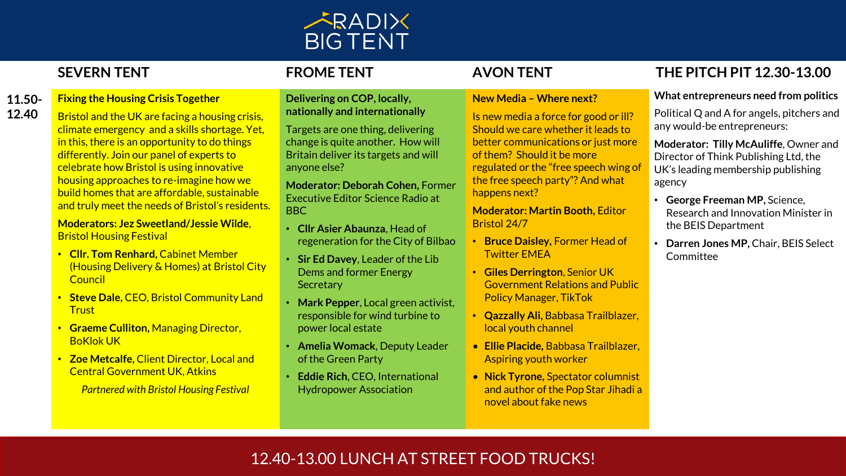

**11.50- 12.40**

# **Fixing the Housing Crisis Together**

Bristol and the UK are facing a housing crisis, climate emergency and a skills shortage. Yet, in this, there is an opportunity to do things differently. Join our panel of experts to celebrate how Bristol is using innovative housing approaches to re-imagine how we build homes that are affordable, sustainable and truly meet the needs of Bristol's residents.

## **Moderators: Jez Sweetland/Jessie Wilde**, Bristol Housing Festival

- **Cllr. Tom Renhard,** Cabinet Member (Housing Delivery & Homes) at Bristol City **Council**
- **Steve Dale,** CEO, Bristol Community Land **Trust**
- **Graeme Culliton,** Managing Director, BoKlok UK
- **Zoe Metcalfe,** Client Director, Local and Central Government UK, Atkins

*Partnered with Bristol Housing Festival*

## **Delivering on COP, locally, nationally and internationally**

Targets are one thing, delivering change is quite another. How will Britain deliver its targets and will anyone else?

**Moderator: Deborah Cohen,** Former Executive Editor Science Radio at BBC

- **Cllr Asier Abaunza**, Head of regeneration for the City of Bilbao
- **Sir Ed Davey**, Leader of the Lib Dems and former Energy **Secretary**
- **Mark Pepper**, Local green activist, responsible for wind turbine to power local estate
- **Amelia Womack**, Deputy Leader of the Green Party
- **Eddie Rich**, CEO, International Hydropower Association

## **New Media – Where next?**

Is new media a force for good or ill? Should we care whether it leads to better communications or just more of them? Should it be more regulated or the "free speech wing of the free speech party"? And what happens next?

**Moderator: Martin Booth,** Editor Bristol 24/7

- **Bruce Daisley,** Former Head of Twitter EMEA
- **Giles Derrington**, Senior UK Government Relations and Public Policy Manager, TikTok
- **Qazzally Ali,** Babbasa Trailblazer, local youth channel
- **Ellie Placide,** Babbasa Trailblazer, Aspiring youth worker
- **Nick Tyrone,** Spectator columnist and author of the Pop Star Jihadi a novel about fake news

# **SEVERN TENT FROME TENT AVON TENT THE PITCH PIT 12.30-13.00**

# **What entrepreneurs need from politics**

Political Q and A for angels, pitchers and any would-be entrepreneurs:

**Moderator: Tilly McAuliffe**, Owner and Director of Think Publishing Ltd, the UK's leading membership publishing agency

- **George Freeman MP,** Science, Research and Innovation Minister in the BEIS Department
- **Darren Jones MP,** Chair, BEIS Select **Committee**

# 12.40-13.00 LUNCH AT STREET FOOD TRUCKS!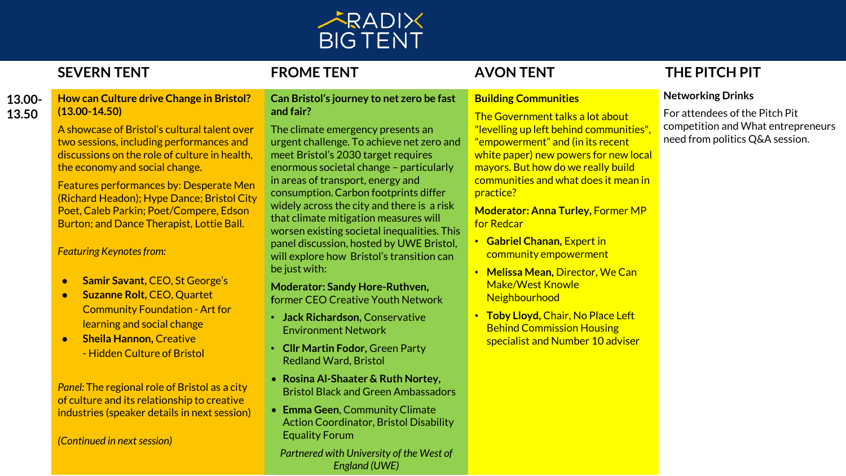

# **13.00- 13.50**

## **How can Culture drive Change in Bristol? (13.00-14.50)**

A showcase of Bristol's cultural talent over two sessions, including performances and discussions on the role of culture in health, the economy and social change.

Features performances by: Desperate Men (Richard Headon); Hype Dance; Bristol City Poet, Caleb Parkin; Poet/Compere, Edson Burton; and Dance Therapist, Lottie Ball.

## *Featuring Keynotes from:*

- **Samir Savant,** CEO, St George's
- **Suzanne Rolt,** CEO, Quartet Community Foundation - Art for learning and social change
- **Sheila Hannon,** Creative - Hidden Culture of Bristol

*Panel:* The regional role of Bristol as a city of culture and its relationship to creative industries (speaker details in next session)

*(Continued in next session)* 

## **Can Bristol's journey to net zero be fast and fair?**

The climate emergency presents an urgent challenge. To achieve net zero and meet Bristol's 2030 target requires enormous societal change – particularly in areas of transport, energy and consumption. Carbon footprints differ widely across the city and there is a risk that climate mitigation measures will worsen existing societal inequalities. This panel discussion, hosted by UWE Bristol, will explore how Bristol's transition can be just with:

# **Moderator: Sandy Hore-Ruthven,**

**f**ormer CEO Creative Youth Network

- **Jack Richardson,** Conservative Environment Network
- **Cllr Martin Fodor,** Green Party Redland Ward, Bristol
- **Rosina Al-Shaater & Ruth Nortey,**  Bristol Black and Green Ambassadors
- **Emma Geen**, Community Climate Action Coordinator, Bristol Disability Equality Forum

*Partnered with University of the West of England (UWE)*

# **Building Communities**

The Government talks a lot about "levelling up left behind communities", "empowerment" and (in its recent white paper) new powers for new local mayors. But how do we really build communities and what does it mean in practice?

**Moderator: Anna Turley, Former MP** for Redcar

- **Gabriel Chanan,** Expert in community empowerment
- **Melissa Mean,** Director, We Can Make/West Knowle **Neighbourhood**
- **Toby Lloyd,** Chair, No Place Left Behind Commission Housing specialist and Number 10 adviser

# **SEVERN TENT FROME TENT AVON TENT THE PITCH PIT**

# **Networking Drinks**

For attendees of the Pitch Pit competition and What entrepreneurs need from politics Q&A session.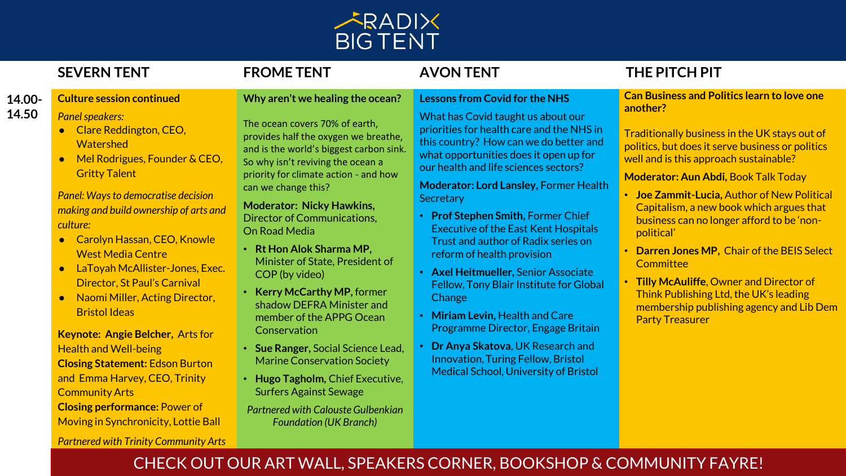

# **SEVERN TENT FROME TENT AVON TENT THE PITCH PIT**

**Can Business and Politics learn to love one another?**

Traditionally business in the UK stays out of politics, but does it serve business or politics well and is this approach sustainable?

## **Moderator: Aun Abdi,** Book Talk Today

- **Joe Zammit-Lucia,** Author of New Political Capitalism, a new book which argues that business can no longer afford to be 'nonpolitical'
- **Darren Jones MP,** Chair of the BEIS Select **Committee**
- **Tilly McAuliffe**, Owner and Director of Think Publishing Ltd, the UK's leading membership publishing agency and Lib Dem Party Treasurer

## **14.00- 14.50 Culture session continued**

# *Panel speakers:*

- Clare Reddington, CEO, **Watershed**
- Mel Rodrigues, Founder & CEO, Gritty Talent

*Panel: Ways to democratise decision making and build ownership of arts and culture:* 

- Carolyn Hassan, CEO, Knowle West Media Centre
- LaToyah McAllister-Jones, Exec. Director, St Paul's Carnival
- Naomi Miller, Acting Director, Bristol Ideas

**Keynote: Angie Belcher,** Arts for Health and Well-being **Closing Statement:** Edson Burton and Emma Harvey, CEO, Trinity Community Arts **Closing performance:** Power of Moving in Synchronicity, Lottie Ball

*Partnered with Trinity Community Arts*

# **Why aren't we healing the ocean?**

The ocean covers 70% of earth, provides half the oxygen we breathe, and is the world's biggest carbon sink. So why isn't reviving the ocean a priority for climate action - and how can we change this?

**Moderator: Nicky Hawkins,**  Director of Communications, On Road Media

- **Rt Hon Alok Sharma MP,**  Minister of State, President of COP (by video)
- **Kerry McCarthy MP,** former shadow DEFRA Minister and member of the APPG Ocean **Conservation**
- **Sue Ranger,** Social Science Lead, Marine Conservation Society
- **Hugo Tagholm,** Chief Executive, Surfers Against Sewage

*Partnered with Calouste Gulbenkian Foundation (UK Branch)*

What has Covid taught us about our priorities for health care and the NHS in this country? How can we do better and what opportunities does it open up for our health and life sciences sectors?

**Lessons from Covid for the NHS**

**Moderator: Lord Lansley,** Former Health **Secretary** 

- **Prof Stephen Smith,** Former Chief Executive of the East Kent Hospitals Trust and author of Radix series on reform of health provision
- **Axel Heitmueller,** Senior Associate Fellow, Tony Blair Institute for Global **Change**
- **Miriam Levin,** Health and Care Programme Director, Engage Britain
- **Dr Anya Skatova**, UK Research and Innovation, Turing Fellow, Bristol Medical School, University of Bristol

# CHECK OUT OUR ART WALL, SPEAKERS CORNER, BOOKSHOP & COMMUNITY FAYRE!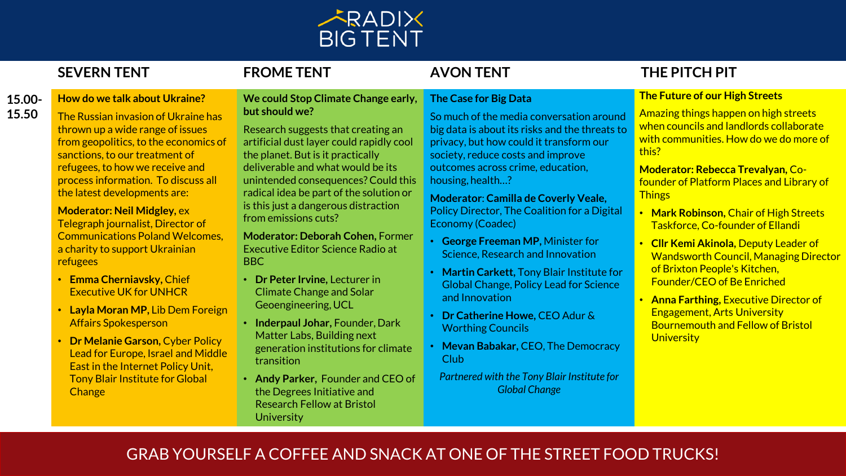

# **SEVERN TENT FROME TENT AVON TENT THE PITCH PIT**

## **15.00- How do we talk about Ukraine?**

**15.50**

The Russian invasion of Ukraine has thrown up a wide range of issues from geopolitics, to the economics of sanctions, to our treatment of refugees, to how we receive and process information. To discuss all the latest developments are:

**Moderator: Neil Midgley,** ex Telegraph journalist, Director of Communications Poland Welcomes, a charity to support Ukrainian refugees

- **Emma Cherniavsky,** Chief Executive UK for UNHCR
- **Layla Moran MP,** Lib Dem Foreign Affairs Spokesperson
- **Dr Melanie Garson,** Cyber Policy Lead for Europe, Israel and Middle East in the Internet Policy Unit, Tony Blair Institute for Global **Change**

## **We could Stop Climate Change early, but should we?**

Research suggests that creating an artificial dust layer could rapidly cool the planet. But is it practically deliverable and what would be its unintended consequences? Could this radical idea be part of the solution or is this just a dangerous distraction from emissions cuts?

**Moderator: Deborah Cohen,** Former Executive Editor Science Radio at BBC

- **Dr Peter Irvine,** Lecturer in Climate Change and Solar Geoengineering, UCL
- **Inderpaul Johar,** Founder, Dark Matter Labs, Building next generation institutions for climate transition
- **Andy Parker,** Founder and CEO of the Degrees Initiative and Research Fellow at Bristol **University**

# **The Case for Big Data**

So much of the media conversation around big data is about its risks and the threats to privacy, but how could it transform our society, reduce costs and improve outcomes across crime, education, housing, health…?

**Moderator**: **Camilla de Coverly Veale,**  Policy Director, The Coalition for a Digital Economy (Coadec)

- **George Freeman MP,** Minister for Science, Research and Innovation
- **Martin Carkett,** Tony Blair Institute for Global Change, Policy Lead for Science and Innovation
- **Dr Catherine Howe,** CEO Adur & Worthing Councils
- **Mevan Babakar,** CEO, The Democracy Club
- *Partnered with the Tony Blair Institute for Global Change*

# **The Future of our High Streets**

Amazing things happen on high streets when councils and landlords collaborate with communities. How do we do more of this?

**Moderator: Rebecca Trevalyan,** Cofounder of Platform Places and Library of **Things** 

- **Mark Robinson,** Chair of High Streets Taskforce, Co-founder of Ellandi
- **Cllr Kemi Akinola,** Deputy Leader of Wandsworth Council, Managing Director of Brixton People's Kitchen, Founder/CEO of Be Enriched
- **Anna Farthing,** Executive Director of Engagement, Arts University Bournemouth and Fellow of Bristol **University**

# GRAB YOURSELF A COFFEE AND SNACK AT ONE OF THE STREET FOOD TRUCKS!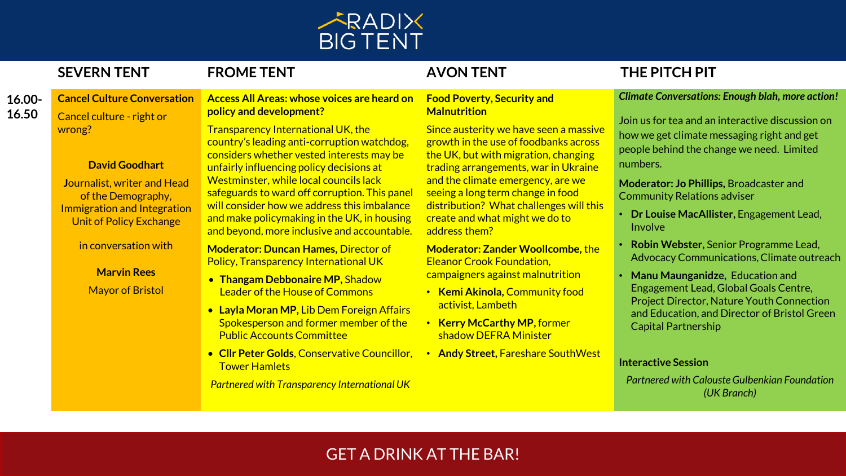

**16.00- 16.50 Cancel Culture Conversation** Cancel culture - right or wrong?

## **David Goodhart**

**J**ournalist, writer and Head of the Demography, Immigration and Integration Unit of Policy Exchange

in conversation with

**Marvin Rees** Mayor of Bristol

## **Access All Areas: whose voices are heard on policy and development?**

Transparency International UK, the country's leading anti-corruption watchdog, considers whether vested interests may be unfairly influencing policy decisions at Westminster, while local councils lack safeguards to ward off corruption. This panel will consider how we address this imbalance and make policymaking in the UK, in housing and beyond, more inclusive and accountable.

**Moderator: Duncan Hames,** Director of Policy, Transparency International UK

- **Thangam Debbonaire MP,** Shadow Leader of the House of Commons
- **Layla Moran MP,** Lib Dem Foreign Affairs Spokesperson and former member of the Public Accounts Committee
- **Cllr Peter Golds**, Conservative Councillor, Tower Hamlets

*Partnered with Transparency International UK*

## **Food Poverty, Security and Malnutrition**

Since austerity we have seen a massive growth in the use of foodbanks across the UK, but with migration, changing trading arrangements, war in Ukraine and the climate emergency, are we seeing a long term change in food distribution? What challenges will this create and what might we do to address them?

**Moderator: Zander Woollcombe,** the Eleanor Crook Foundation, campaigners against malnutrition

- **Kemi Akinola,** Community food activist, Lambeth
- **Kerry McCarthy MP,** former shadow DEFRA Minister
- **Andy Street,** Fareshare SouthWest

# **SEVERN TENT FROME TENT AVON TENT THE PITCH PIT**

## *Climate Conversations: Enough blah, more action!*

Join us for tea and an interactive discussion on how we get climate messaging right and get people behind the change we need. Limited numbers.

**Moderator: Jo Phillips,** Broadcaster and Community Relations adviser

- **Dr Louise MacAllister,** Engagement Lead, Involve
- **Robin Webster,** Senior Programme Lead, Advocacy Communications, Climate outreach
- **Manu Maunganidze,** Education and Engagement Lead, Global Goals Centre, Project Director, Nature Youth Connection and Education, and Director of Bristol Green Capital Partnership

## **Interactive Session**

*Partnered with Calouste Gulbenkian Foundation (UK Branch)*

# GET A DRINK AT THE BAR!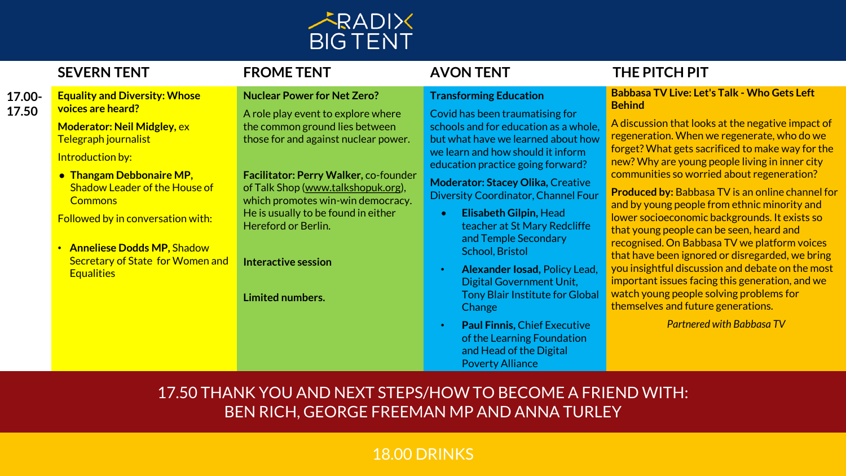

# **SEVERN TENT FROME TENT AVON TENT THE PITCH PIT**

## **Transforming Education**

Covid has been traumatising for schools and for education as a whole, but what have we learned about how we learn and how should it inform education practice going forward?

**Moderator: Stacey Olika,** Creative Diversity Coordinator, Channel Four

- **Elisabeth Gilpin,** Head teacher at St Mary Redcliffe and Temple Secondary School, Bristol
- **Alexander Iosad,** Policy Lead, Digital Government Unit, Tony Blair Institute for Global **Change**
- **Paul Finnis,** Chief Executive of the Learning Foundation and Head of the Digital Poverty Alliance

## **Babbasa TV Live: Let's Talk - Who Gets Left Behind**

A discussion that looks at the negative impact of regeneration. When we regenerate, who do we forget? What gets sacrificed to make way for the new? Why are young people living in inner city communities so worried about regeneration?

**Produced by:** Babbasa TV is an online channel for and by young people from ethnic minority and lower socioeconomic backgrounds. It exists so that young people can be seen, heard and recognised. On Babbasa TV we platform voices that have been ignored or disregarded, we bring you insightful discussion and debate on the most important issues facing this generation, and we watch young people solving problems for themselves and future generations.

*Partnered with Babbasa TV*

**17.00- 17.50 Equality and Diversity: Whose voices are heard?**

> **Moderator: Neil Midgley,** ex Telegraph journalist

**Introduction by:** 

● **Thangam Debbonaire MP,**  Shadow Leader of the House of **Commons** 

Followed by in conversation with:

• **Anneliese Dodds MP,** Shadow Secretary of State for Women and **Equalities** 

**Nuclear Power for Net Zero?**

A role play event to explore where the common ground lies between those for and against nuclear power.

**Facilitator: Perry Walker,** co-founder of Talk Shop [\(www.talkshopuk.org\)](http://www.talkshopuk.org/), which promotes win-win democracy. He is usually to be found in either Hereford or Berlin.

**Interactive session** 

**Limited numbers.** 

# 17.50 THANK YOU AND NEXT STEPS/HOW TO BECOME A FRIEND WITH: BEN RICH, GEORGE FREEMAN MP AND ANNA TURLEY

# 18.00 DRINKS